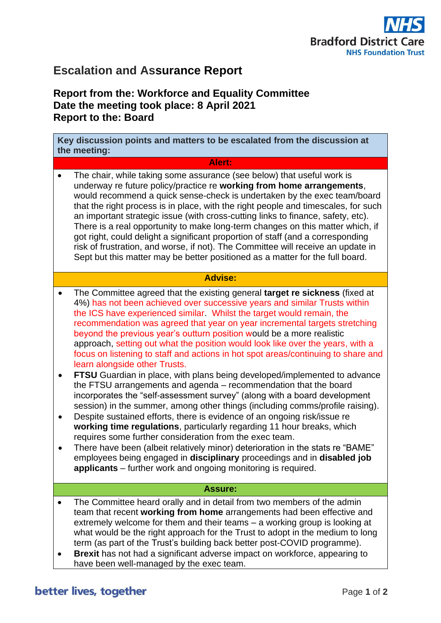

# **Escalation and Assurance Report**

## **Report from the: Workforce and Equality Committee Date the meeting took place: 8 April 2021 Report to the: Board**

**Key discussion points and matters to be escalated from the discussion at the meeting:**

#### **Alert:**

• The chair, while taking some assurance (see below) that useful work is underway re future policy/practice re **working from home arrangements**, would recommend a quick sense-check is undertaken by the exec team/board that the right process is in place, with the right people and timescales, for such an important strategic issue (with cross-cutting links to finance, safety, etc). There is a real opportunity to make long-term changes on this matter which, if got right, could delight a significant proportion of staff (and a corresponding risk of frustration, and worse, if not). The Committee will receive an update in Sept but this matter may be better positioned as a matter for the full board.

## **Advise:**

- The Committee agreed that the existing general **target re sickness** (fixed at 4%) has not been achieved over successive years and similar Trusts within the ICS have experienced similar. Whilst the target would remain, the recommendation was agreed that year on year incremental targets stretching beyond the previous year's outturn position would be a more realistic approach, setting out what the position would look like over the years, with a focus on listening to staff and actions in hot spot areas/continuing to share and learn alongside other Trusts.
- **FTSU** Guardian in place, with plans being developed/implemented to advance the FTSU arrangements and agenda – recommendation that the board incorporates the "self-assessment survey" (along with a board development session) in the summer, among other things (including comms/profile raising).
- Despite sustained efforts, there is evidence of an ongoing risk/issue re **working time regulations**, particularly regarding 11 hour breaks, which requires some further consideration from the exec team.
- There have been (albeit relatively minor) deterioration in the stats re "BAME" employees being engaged in **disciplinary** proceedings and in **disabled job applicants** – further work and ongoing monitoring is required.

#### **Assure:**

- The Committee heard orally and in detail from two members of the admin team that recent **working from home** arrangements had been effective and extremely welcome for them and their teams – a working group is looking at what would be the right approach for the Trust to adopt in the medium to long term (as part of the Trust's building back better post-COVID programme).
- **Brexit** has not had a significant adverse impact on workforce, appearing to have been well-managed by the exec team.

## better lives, together